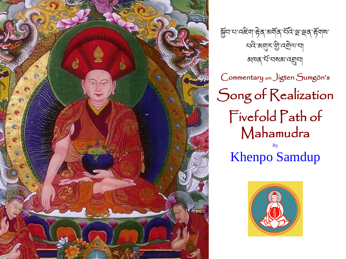

Commentary on Jigten Sumgön's Song of Realization Fivefold Path of Mahamudra By Khenpo Samdup য়ুন ঘাৰেইনা দ্বিৰ অৰ্মাৰ শ্বৰ শ্ৰুৰ দ্বিনাৰা খন্য সম্মুখ বি, প্ৰত্য ঝানৰ শিব্ৰম্বা

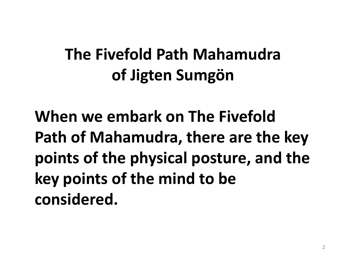### **The Fivefold Path Mahamudra of Jigten Sumgön**

**When we embark on The Fivefold Path of Mahamudra, there are the key points of the physical posture, and the key points of the mind to be considered.**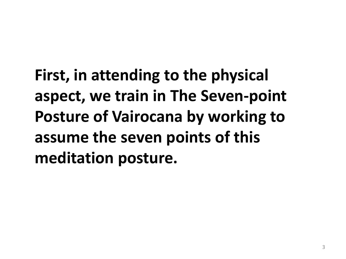**First, in attending to the physical aspect, we train in The Seven-point Posture of Vairocana by working to assume the seven points of this meditation posture.**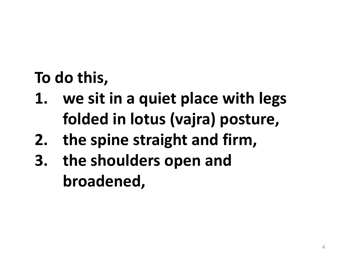**To do this,** 

- **1. we sit in a quiet place with legs folded in lotus (vajra) posture,**
- **2. the spine straight and firm,**
- **3. the shoulders open and broadened,**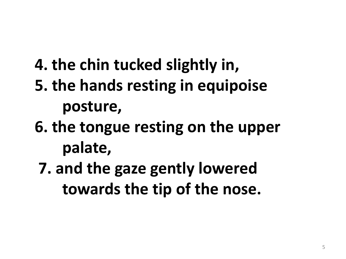- **4. the chin tucked slightly in,**
- **5. the hands resting in equipoise posture,**
- **6. the tongue resting on the upper palate,**
	- **7. and the gaze gently lowered towards the tip of the nose.**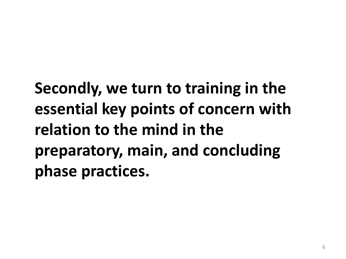**Secondly, we turn to training in the essential key points of concern with relation to the mind in the preparatory, main, and concluding phase practices.**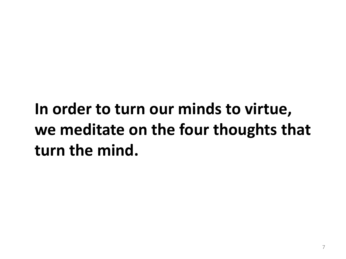## **In order to turn our minds to virtue, we meditate on the four thoughts that turn the mind.**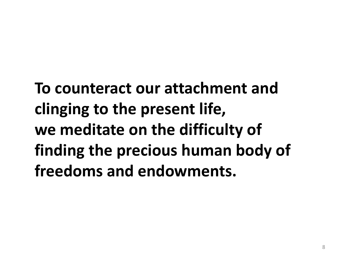**To counteract our attachment and clinging to the present life, we meditate on the difficulty of finding the precious human body of freedoms and endowments.**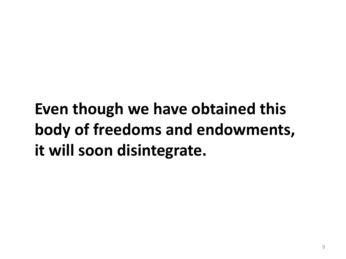## **Even though we have obtained this body of freedoms and endowments, it will soon disintegrate.**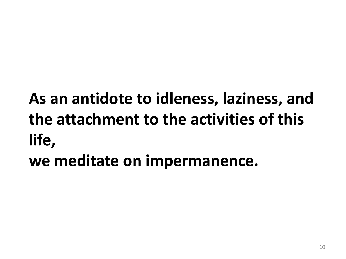## **As an antidote to idleness, laziness, and the attachment to the activities of this life,**

**we meditate on impermanence.**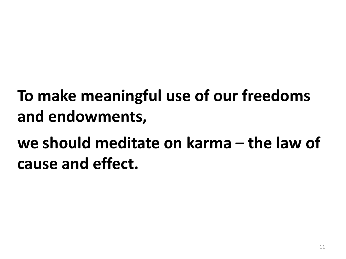## **To make meaningful use of our freedoms and endowments,**

## **we should meditate on karma – the law of cause and effect.**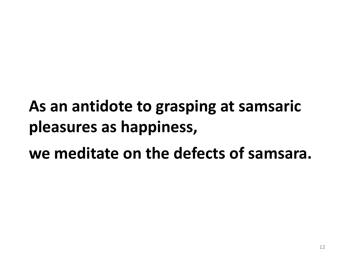# **As an antidote to grasping at samsaric pleasures as happiness,**

**we meditate on the defects of samsara.**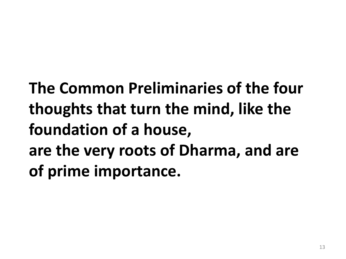**The Common Preliminaries of the four thoughts that turn the mind, like the foundation of a house, are the very roots of Dharma, and are of prime importance.**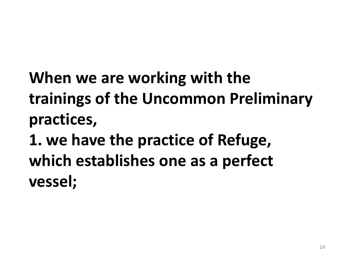**When we are working with the trainings of the Uncommon Preliminary practices,** 

**1. we have the practice of Refuge, which establishes one as a perfect vessel;**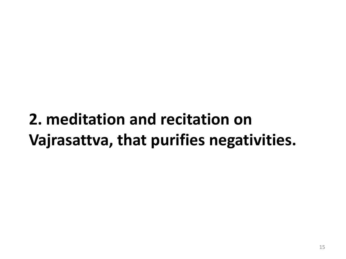#### **2. meditation and recitation on Vajrasattva, that purifies negativities.**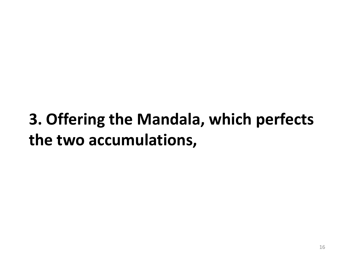## **3. Offering the Mandala, which perfects the two accumulations,**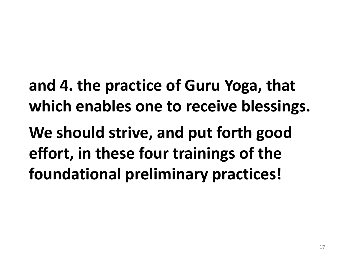**and 4. the practice of Guru Yoga, that which enables one to receive blessings.** 

**We should strive, and put forth good effort, in these four trainings of the foundational preliminary practices!**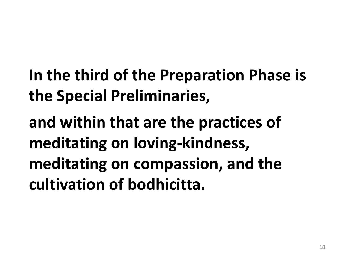**In the third of the Preparation Phase is the Special Preliminaries,** 

**and within that are the practices of meditating on loving-kindness, meditating on compassion, and the cultivation of bodhicitta.**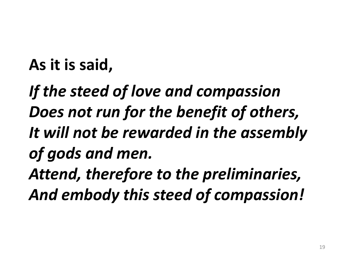#### **As it is said,**

*If the steed of love and compassion Does not run for the benefit of others, It will not be rewarded in the assembly of gods and men. Attend, therefore to the preliminaries, And embody this steed of compassion!*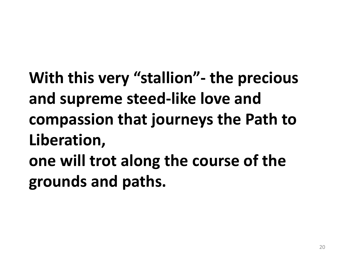**With this very "stallion"- the precious and supreme steed-like love and compassion that journeys the Path to Liberation,** 

**one will trot along the course of the grounds and paths.**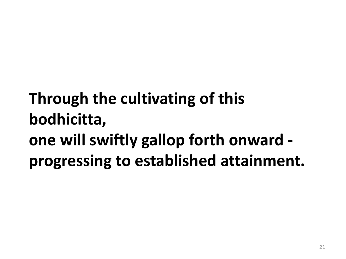## **Through the cultivating of this bodhicitta, one will swiftly gallop forth onward progressing to established attainment.**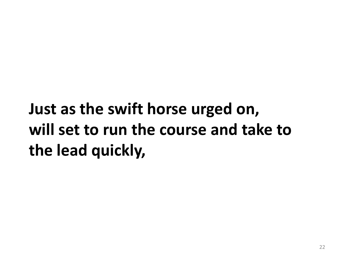## **Just as the swift horse urged on, will set to run the course and take to the lead quickly,**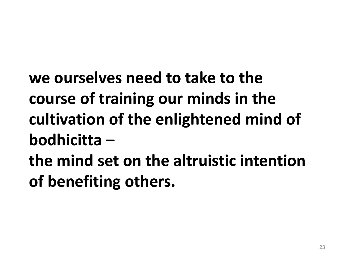**we ourselves need to take to the course of training our minds in the cultivation of the enlightened mind of bodhicitta –**

**the mind set on the altruistic intention of benefiting others.**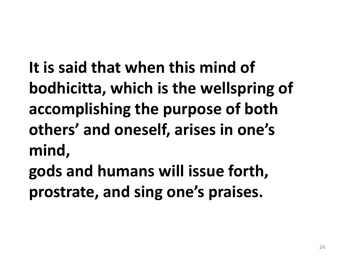**It is said that when this mind of bodhicitta, which is the wellspring of accomplishing the purpose of both others' and oneself, arises in one's mind,** 

**gods and humans will issue forth, prostrate, and sing one's praises.**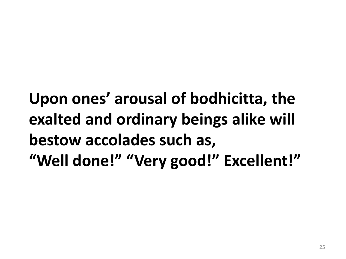**Upon ones' arousal of bodhicitta, the exalted and ordinary beings alike will bestow accolades such as, "Well done!" "Very good!" Excellent!"**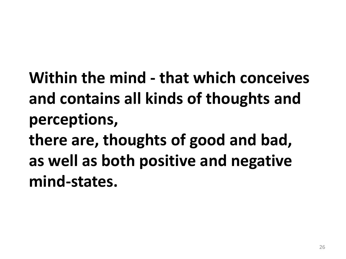**Within the mind - that which conceives and contains all kinds of thoughts and perceptions, there are, thoughts of good and bad,** 

**as well as both positive and negative mind-states.**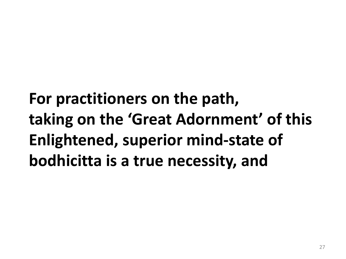**For practitioners on the path, taking on the 'Great Adornment' of this Enlightened, superior mind-state of bodhicitta is a true necessity, and**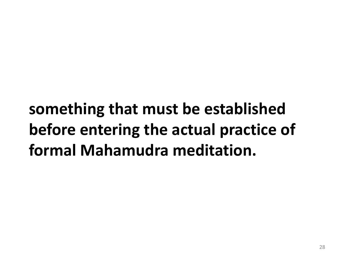**something that must be established before entering the actual practice of formal Mahamudra meditation.**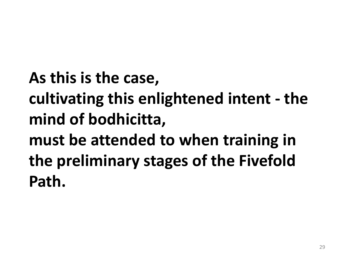**As this is the case, cultivating this enlightened intent - the mind of bodhicitta, must be attended to when training in the preliminary stages of the Fivefold Path.**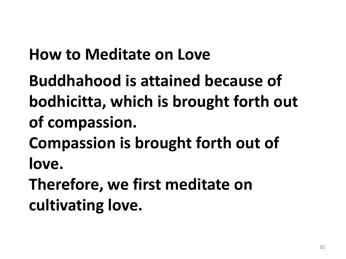#### **How to Meditate on Love**

**Buddhahood is attained because of bodhicitta, which is brought forth out of compassion. Compassion is brought forth out of love.**

**Therefore, we first meditate on cultivating love.**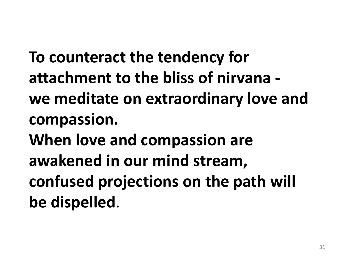**To counteract the tendency for attachment to the bliss of nirvana we meditate on extraordinary love and compassion. When love and compassion are awakened in our mind stream, confused projections on the path will be dispelled**.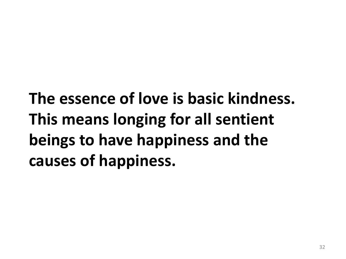**The essence of love is basic kindness. This means longing for all sentient beings to have happiness and the causes of happiness.**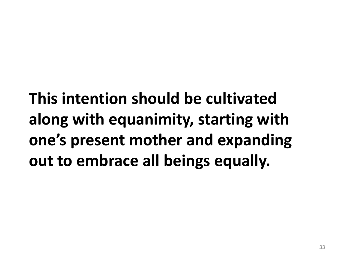**This intention should be cultivated along with equanimity, starting with one's present mother and expanding out to embrace all beings equally.**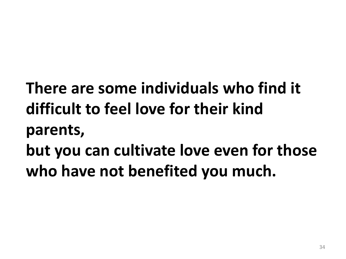- **There are some individuals who find it difficult to feel love for their kind parents,**
- **but you can cultivate love even for those who have not benefited you much.**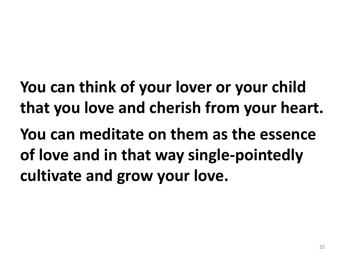**You can think of your lover or your child that you love and cherish from your heart.**

**You can meditate on them as the essence of love and in that way single-pointedly cultivate and grow your love.**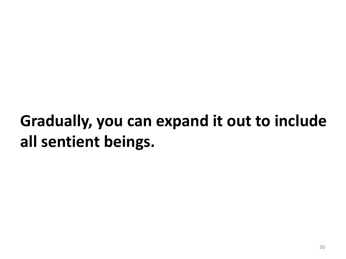## **Gradually, you can expand it out to include all sentient beings.**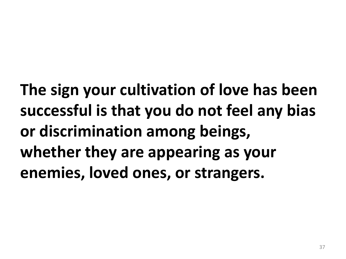**The sign your cultivation of love has been successful is that you do not feel any bias or discrimination among beings, whether they are appearing as your enemies, loved ones, or strangers.**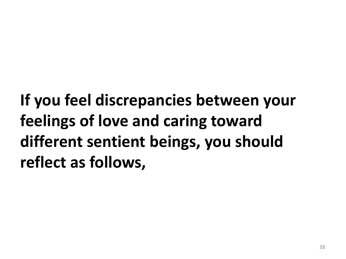**If you feel discrepancies between your feelings of love and caring toward different sentient beings, you should reflect as follows,**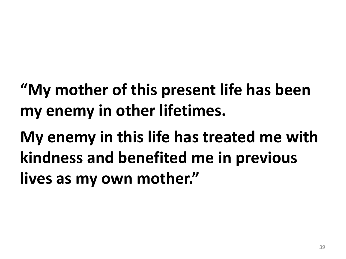## **"My mother of this present life has been my enemy in other lifetimes.**

**My enemy in this life has treated me with kindness and benefited me in previous lives as my own mother."**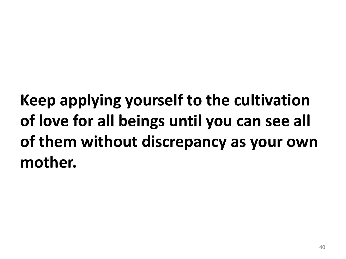# **Keep applying yourself to the cultivation of love for all beings until you can see all of them without discrepancy as your own mother.**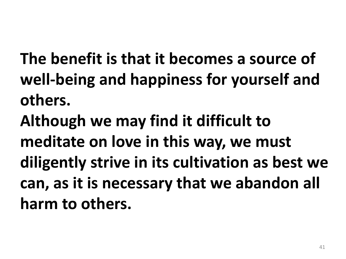**The benefit is that it becomes a source of well-being and happiness for yourself and others.** 

**Although we may find it difficult to meditate on love in this way, we must diligently strive in its cultivation as best we can, as it is necessary that we abandon all harm to others.**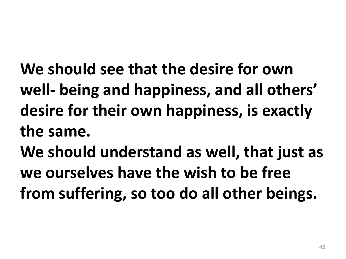- **We should see that the desire for own well- being and happiness, and all others' desire for their own happiness, is exactly the same.**
- **We should understand as well, that just as we ourselves have the wish to be free from suffering, so too do all other beings.**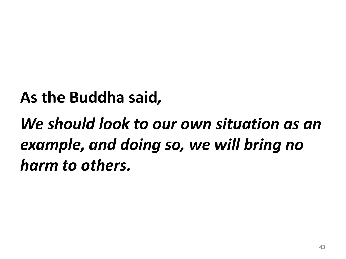#### **As the Buddha said***,*

## *We should look to our own situation as an example, and doing so, we will bring no harm to others.*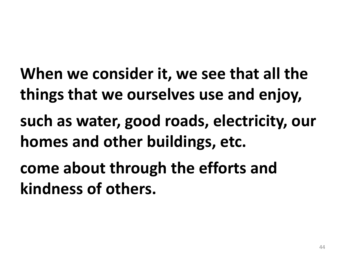**When we consider it, we see that all the things that we ourselves use and enjoy, such as water, good roads, electricity, our homes and other buildings, etc.** 

**come about through the efforts and kindness of others.**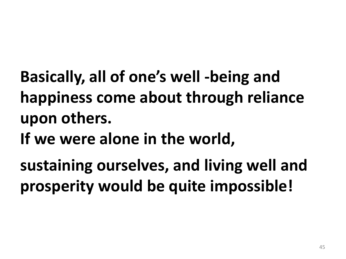**Basically, all of one's well -being and happiness come about through reliance upon others.** 

**If we were alone in the world,** 

**sustaining ourselves, and living well and prosperity would be quite impossible!**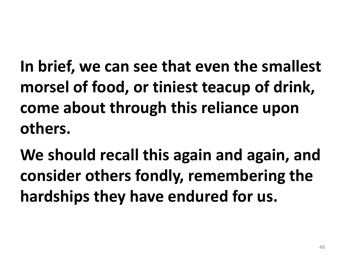**In brief, we can see that even the smallest morsel of food, or tiniest teacup of drink, come about through this reliance upon others.** 

**We should recall this again and again, and consider others fondly, remembering the hardships they have endured for us.**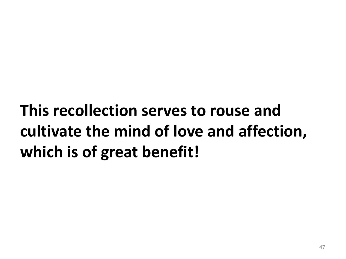# **This recollection serves to rouse and cultivate the mind of love and affection, which is of great benefit!**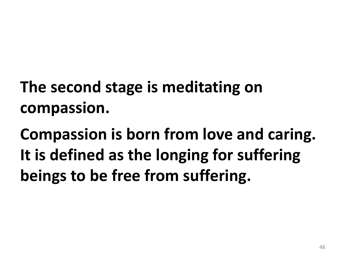**The second stage is meditating on compassion.**

**Compassion is born from love and caring. It is defined as the longing for suffering beings to be free from suffering.**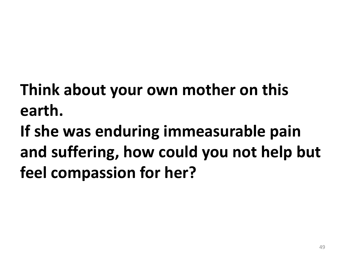**Think about your own mother on this earth.** 

**If she was enduring immeasurable pain and suffering, how could you not help but feel compassion for her?**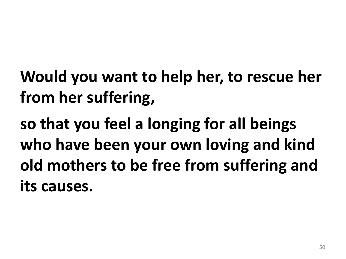**Would you want to help her, to rescue her from her suffering,** 

**so that you feel a longing for all beings who have been your own loving and kind old mothers to be free from suffering and its causes.**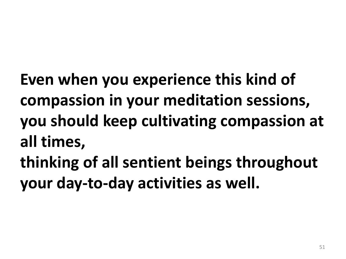**Even when you experience this kind of compassion in your meditation sessions, you should keep cultivating compassion at all times,** 

**thinking of all sentient beings throughout your day-to-day activities as well.**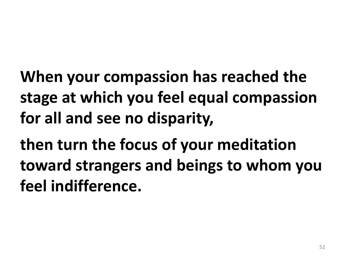**When your compassion has reached the stage at which you feel equal compassion for all and see no disparity,**

**then turn the focus of your meditation toward strangers and beings to whom you feel indifference.**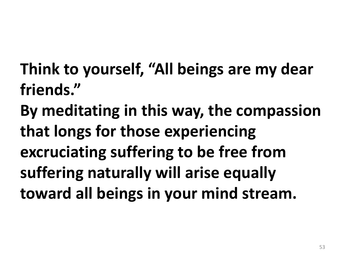**Think to yourself, "All beings are my dear friends."** 

**By meditating in this way, the compassion that longs for those experiencing excruciating suffering to be free from suffering naturally will arise equally toward all beings in your mind stream.**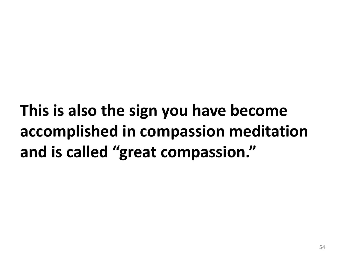**This is also the sign you have become accomplished in compassion meditation and is called "great compassion."**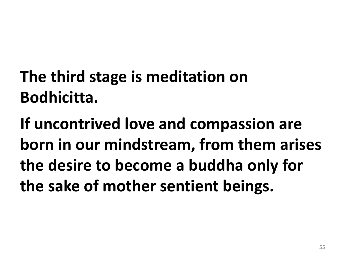# **The third stage is meditation on Bodhicitta.**

**If uncontrived love and compassion are born in our mindstream, from them arises the desire to become a buddha only for the sake of mother sentient beings.**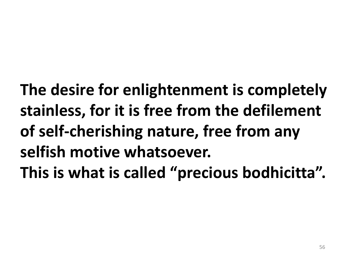**The desire for enlightenment is completely stainless, for it is free from the defilement of self-cherishing nature, free from any selfish motive whatsoever. This is what is called "precious bodhicitta".**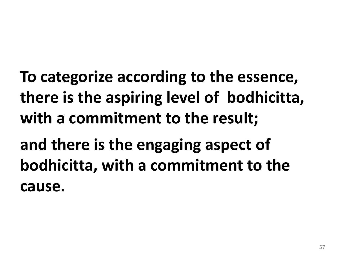- **To categorize according to the essence, there is the aspiring level of bodhicitta, with a commitment to the result;**
- **and there is the engaging aspect of bodhicitta, with a commitment to the cause.**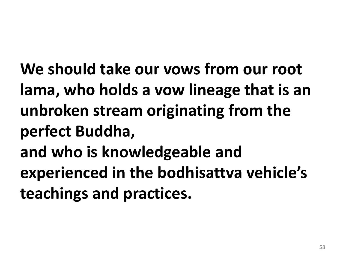**We should take our vows from our root lama, who holds a vow lineage that is an unbroken stream originating from the perfect Buddha, and who is knowledgeable and experienced in the bodhisattva vehicle's** 

**teachings and practices.**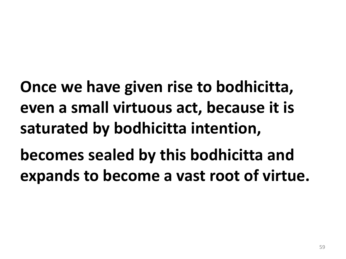**Once we have given rise to bodhicitta, even a small virtuous act, because it is saturated by bodhicitta intention,**

**becomes sealed by this bodhicitta and expands to become a vast root of virtue.**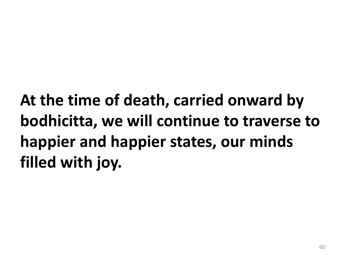**At the time of death, carried onward by bodhicitta, we will continue to traverse to happier and happier states, our minds filled with joy.**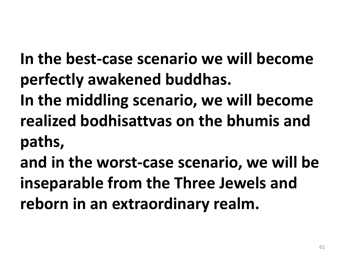- **In the best-case scenario we will become perfectly awakened buddhas.**
- **In the middling scenario, we will become realized bodhisattvas on the bhumis and paths,**
- **and in the worst-case scenario, we will be inseparable from the Three Jewels and reborn in an extraordinary realm.**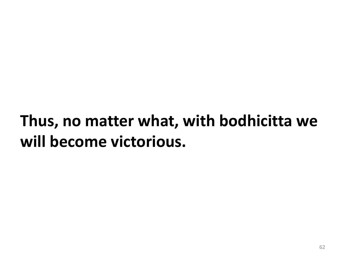### **Thus, no matter what, with bodhicitta we will become victorious.**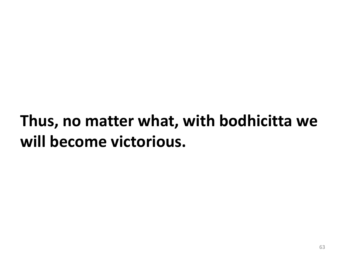### **Thus, no matter what, with bodhicitta we will become victorious.**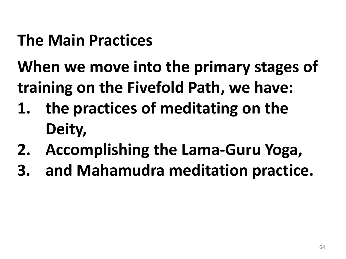#### **The Main Practices**

### **When we move into the primary stages of training on the Fivefold Path, we have:**

- **1. the practices of meditating on the Deity,**
- **2. Accomplishing the Lama-Guru Yoga,**
- **3. and Mahamudra meditation practice.**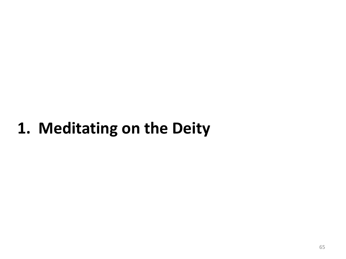#### **1. Meditating on the Deity**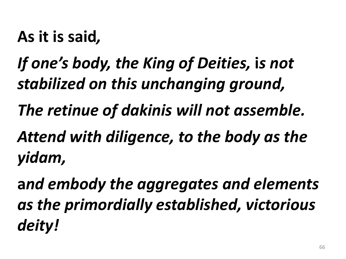**As it is said***,* 

### *If one's body, the King of Deities,* **i***s not stabilized on this unchanging ground,*

*The retinue of dakinis will not assemble.*

*Attend with diligence, to the body as the yidam,* 

**a***nd embody the aggregates and elements as the primordially established, victorious deity!*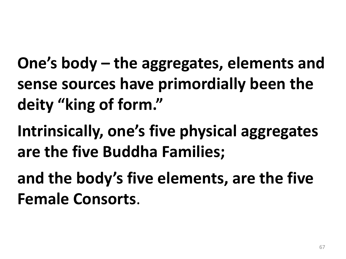**One's body – the aggregates, elements and sense sources have primordially been the deity "king of form."** 

**Intrinsically, one's five physical aggregates are the five Buddha Families;** 

**and the body's five elements, are the five Female Consorts**.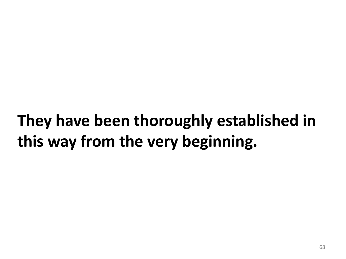### **They have been thoroughly established in this way from the very beginning.**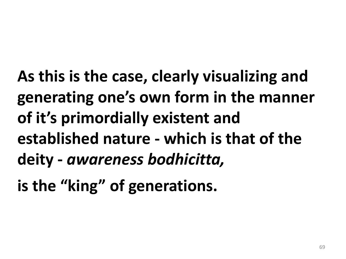**As this is the case, clearly visualizing and generating one's own form in the manner of it's primordially existent and established nature - which is that of the deity -** *awareness bodhicitta,*

**is the "king" of generations.**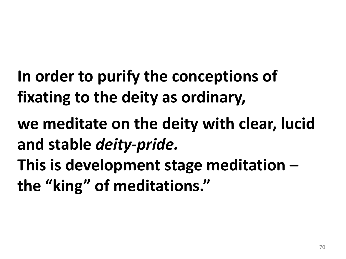- **In order to purify the conceptions of fixating to the deity as ordinary,**
- **we meditate on the deity with clear, lucid and stable** *deity-pride.*
- **This is development stage meditation – the "king" of meditations."**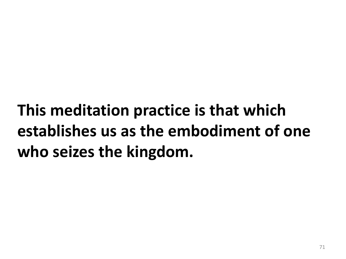**This meditation practice is that which establishes us as the embodiment of one who seizes the kingdom.**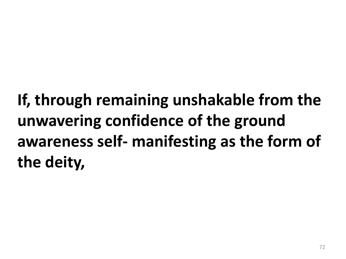**If, through remaining unshakable from the unwavering confidence of the ground awareness self- manifesting as the form of the deity,**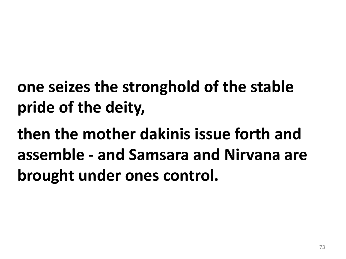- **one seizes the stronghold of the stable pride of the deity,**
- **then the mother dakinis issue forth and assemble - and Samsara and Nirvana are brought under ones control.**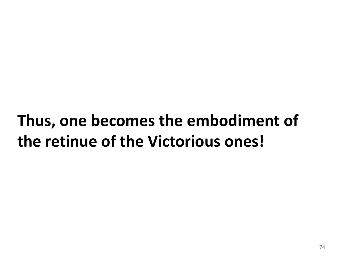## **Thus, one becomes the embodiment of the retinue of the Victorious ones!**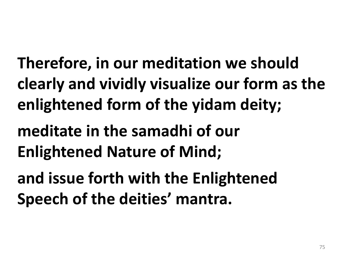**Therefore, in our meditation we should clearly and vividly visualize our form as the enlightened form of the yidam deity;**

**meditate in the samadhi of our Enlightened Nature of Mind;** 

**and issue forth with the Enlightened Speech of the deities' mantra.**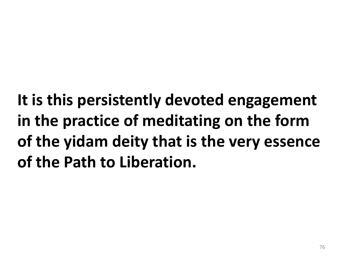**It is this persistently devoted engagement in the practice of meditating on the form of the yidam deity that is the very essence of the Path to Liberation.**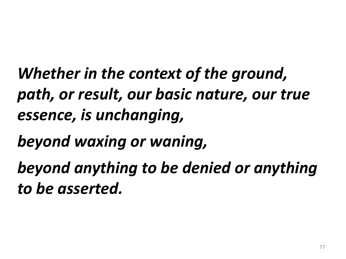*Whether in the context of the ground, path, or result, our basic nature, our true essence, is unchanging,* 

*beyond waxing or waning,* 

*beyond anything to be denied or anything to be asserted.*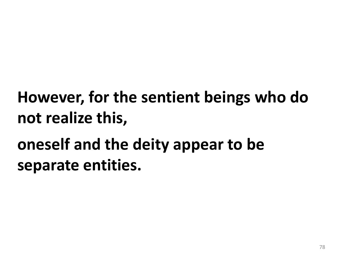## **However, for the sentient beings who do not realize this,**

## **oneself and the deity appear to be separate entities.**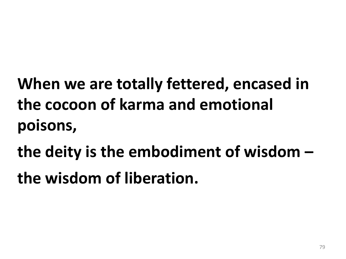- **When we are totally fettered, encased in the cocoon of karma and emotional poisons,**
- **the deity is the embodiment of wisdom –**
- **the wisdom of liberation.**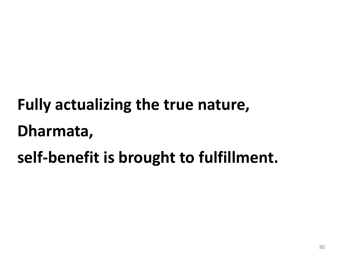# **Fully actualizing the true nature, Dharmata, self-benefit is brought to fulfillment.**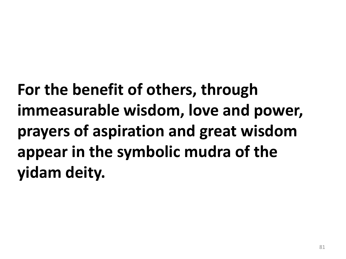**For the benefit of others, through immeasurable wisdom, love and power, prayers of aspiration and great wisdom appear in the symbolic mudra of the yidam deity.**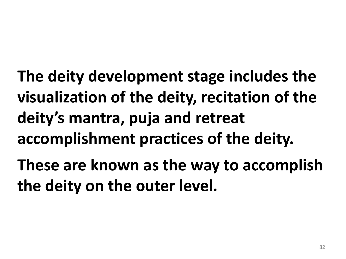**The deity development stage includes the visualization of the deity, recitation of the deity's mantra, puja and retreat accomplishment practices of the deity. These are known as the way to accomplish** 

**the deity on the outer level.**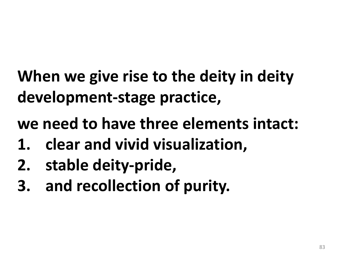**When we give rise to the deity in deity development-stage practice,** 

**we need to have three elements intact:** 

- **1. clear and vivid visualization,**
- **2. stable deity-pride,**
- **3. and recollection of purity.**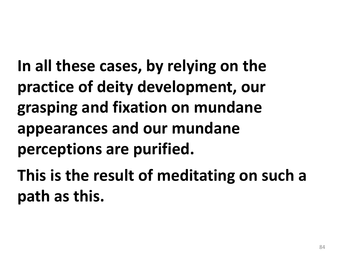**In all these cases, by relying on the practice of deity development, our grasping and fixation on mundane appearances and our mundane perceptions are purified.** 

**This is the result of meditating on such a path as this.**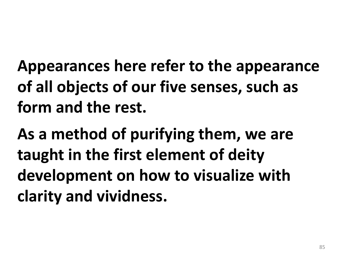**Appearances here refer to the appearance of all objects of our five senses, such as form and the rest.** 

**As a method of purifying them, we are taught in the first element of deity development on how to visualize with clarity and vividness.**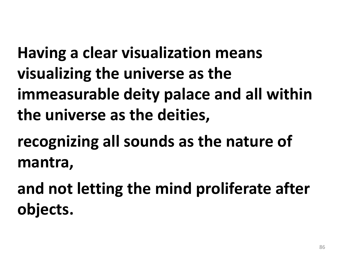**Having a clear visualization means visualizing the universe as the immeasurable deity palace and all within the universe as the deities,** 

**recognizing all sounds as the nature of mantra,** 

**and not letting the mind proliferate after objects.**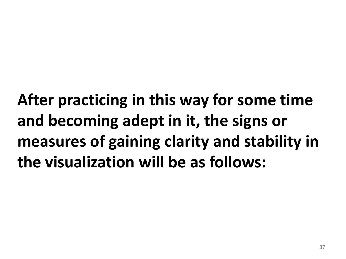**After practicing in this way for some time and becoming adept in it, the signs or measures of gaining clarity and stability in the visualization will be as follows:**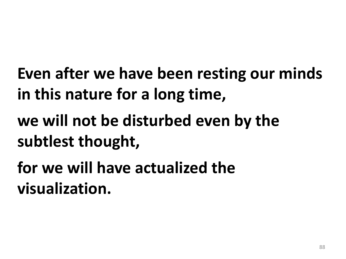- **Even after we have been resting our minds in this nature for a long time,**
- **we will not be disturbed even by the subtlest thought,**
- **for we will have actualized the visualization.**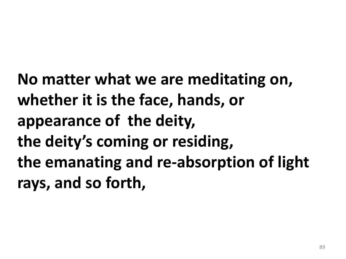**No matter what we are meditating on, whether it is the face, hands, or appearance of the deity, the deity's coming or residing, the emanating and re-absorption of light rays, and so forth,**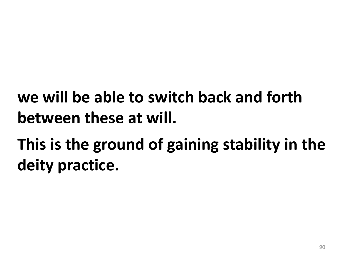### **we will be able to switch back and forth between these at will.**

## **This is the ground of gaining stability in the deity practice.**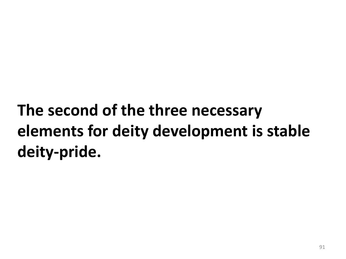# **The second of the three necessary elements for deity development is stable deity-pride.**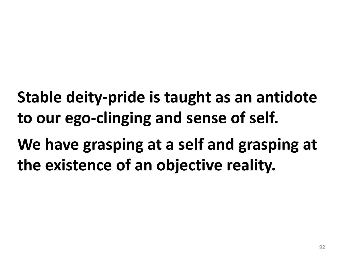**Stable deity-pride is taught as an antidote to our ego-clinging and sense of self. We have grasping at a self and grasping at** 

**the existence of an objective reality.**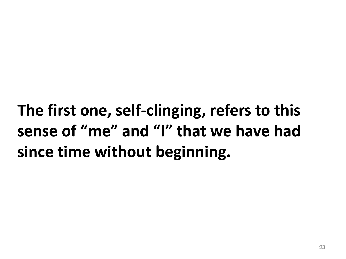**The first one, self-clinging, refers to this sense of "me" and "I" that we have had since time without beginning.**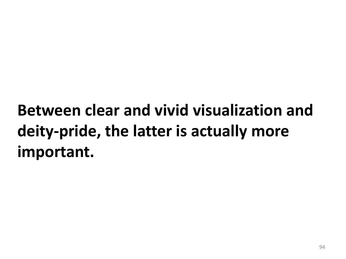## **Between clear and vivid visualization and deity-pride, the latter is actually more important.**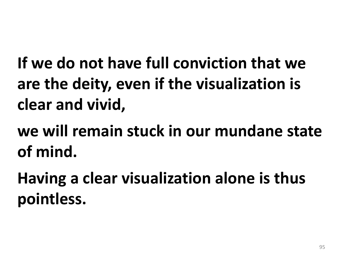**If we do not have full conviction that we are the deity, even if the visualization is clear and vivid,** 

**we will remain stuck in our mundane state of mind.** 

**Having a clear visualization alone is thus pointless.**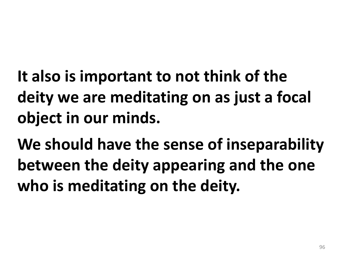- **It also is important to not think of the deity we are meditating on as just a focal object in our minds.**
- **We should have the sense of inseparability between the deity appearing and the one who is meditating on the deity.**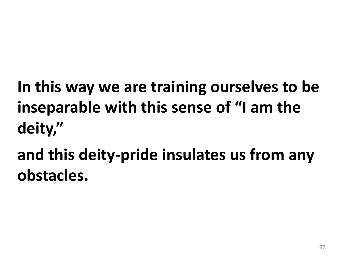**In this way we are training ourselves to be inseparable with this sense of "I am the deity,"** 

**and this deity-pride insulates us from any obstacles.**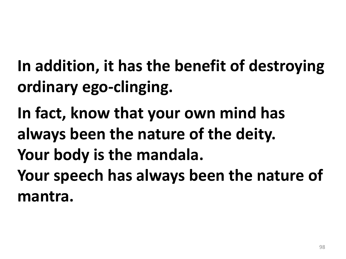- **In addition, it has the benefit of destroying ordinary ego-clinging.**
- **In fact, know that your own mind has always been the nature of the deity. Your body is the mandala. Your speech has always been the nature of mantra.**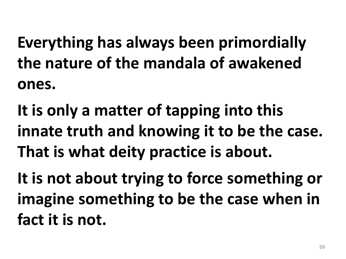**Everything has always been primordially the nature of the mandala of awakened ones.** 

**It is only a matter of tapping into this innate truth and knowing it to be the case. That is what deity practice is about.**

**It is not about trying to force something or imagine something to be the case when in fact it is not.**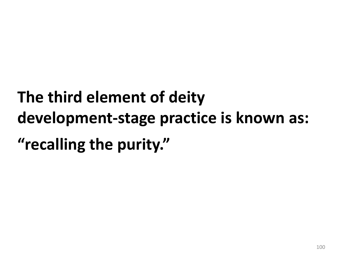# **The third element of deity development-stage practice is known as: "recalling the purity."**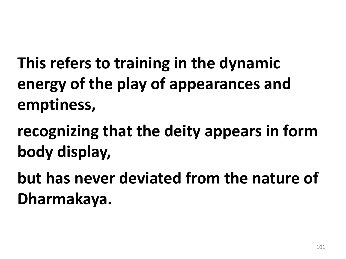**This refers to training in the dynamic energy of the play of appearances and emptiness,** 

**recognizing that the deity appears in form body display,** 

**but has never deviated from the nature of Dharmakaya.**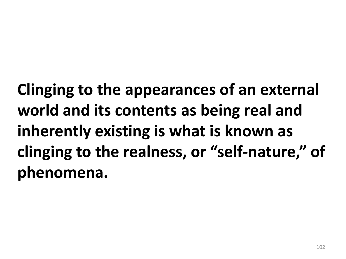**Clinging to the appearances of an external world and its contents as being real and inherently existing is what is known as clinging to the realness, or "self-nature," of phenomena.**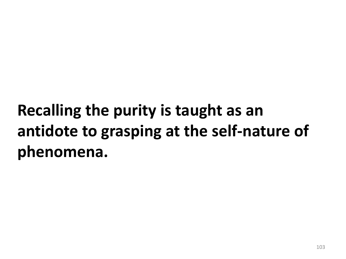## **Recalling the purity is taught as an antidote to grasping at the self-nature of phenomena.**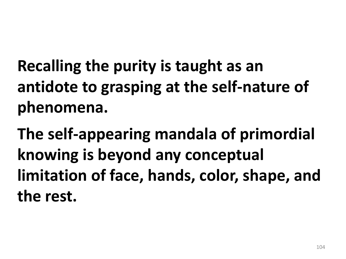**Recalling the purity is taught as an antidote to grasping at the self-nature of phenomena.** 

**The self-appearing mandala of primordial knowing is beyond any conceptual limitation of face, hands, color, shape, and the rest.**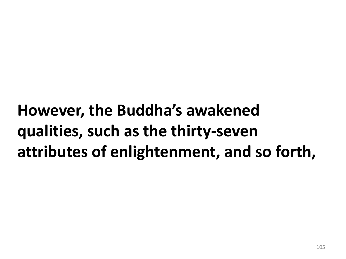## **However, the Buddha's awakened qualities, such as the thirty-seven attributes of enlightenment, and so forth,**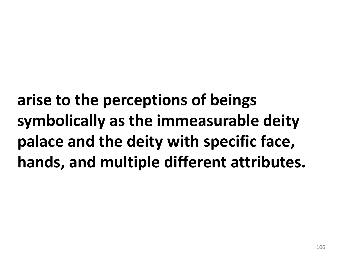**arise to the perceptions of beings symbolically as the immeasurable deity palace and the deity with specific face, hands, and multiple different attributes.**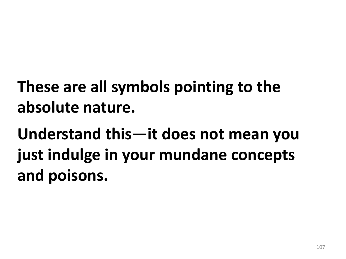## **These are all symbols pointing to the absolute nature.**

**Understand this—it does not mean you just indulge in your mundane concepts and poisons.**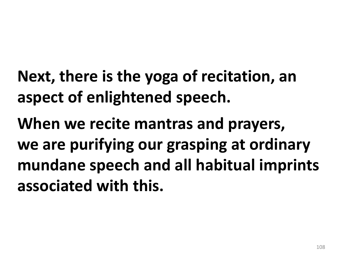**Next, there is the yoga of recitation, an aspect of enlightened speech.** 

**When we recite mantras and prayers, we are purifying our grasping at ordinary mundane speech and all habitual imprints associated with this.**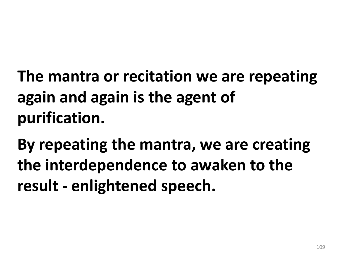**The mantra or recitation we are repeating again and again is the agent of purification.** 

**By repeating the mantra, we are creating the interdependence to awaken to the result - enlightened speech.**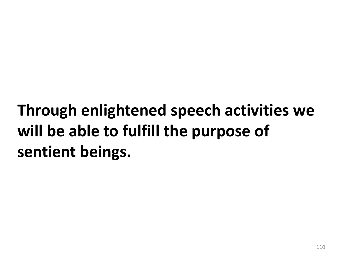## **Through enlightened speech activities we will be able to fulfill the purpose of sentient beings.**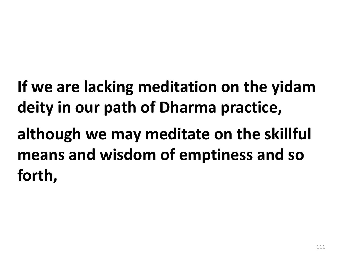**If we are lacking meditation on the yidam deity in our path of Dharma practice,**

**although we may meditate on the skillful means and wisdom of emptiness and so forth,**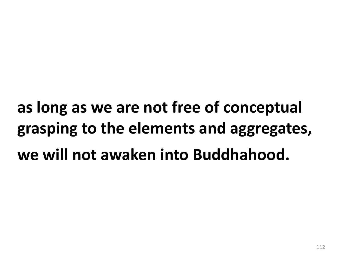**as long as we are not free of conceptual grasping to the elements and aggregates, we will not awaken into Buddhahood.**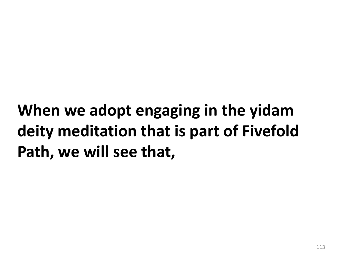## **When we adopt engaging in the yidam deity meditation that is part of Fivefold Path, we will see that,**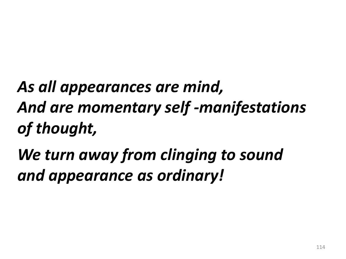# *As all appearances are mind, And are momentary self -manifestations of thought,*

## *We turn away from clinging to sound and appearance as ordinary!*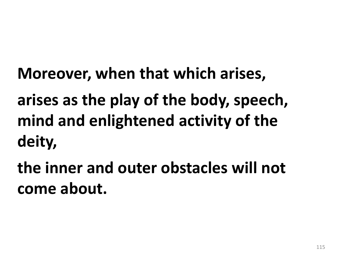**Moreover, when that which arises,** 

**arises as the play of the body, speech, mind and enlightened activity of the deity,** 

**the inner and outer obstacles will not come about.**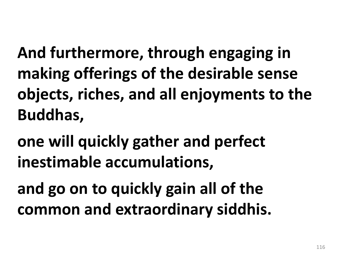**And furthermore, through engaging in making offerings of the desirable sense objects, riches, and all enjoyments to the Buddhas,** 

**one will quickly gather and perfect inestimable accumulations,** 

**and go on to quickly gain all of the common and extraordinary siddhis.**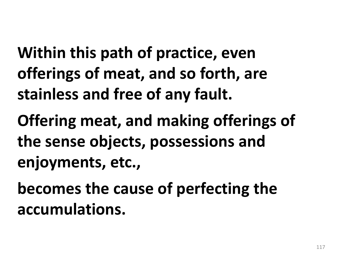**Within this path of practice, even offerings of meat, and so forth, are stainless and free of any fault.** 

**Offering meat, and making offerings of the sense objects, possessions and enjoyments, etc.,** 

**becomes the cause of perfecting the accumulations.**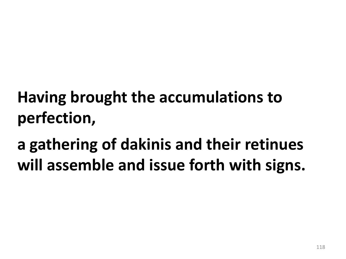#### **Having brought the accumulations to perfection,**

**a gathering of dakinis and their retinues will assemble and issue forth with signs.**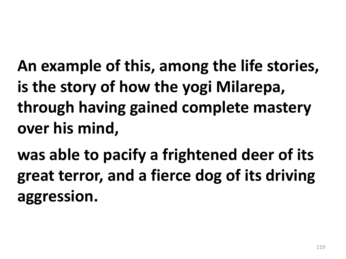**An example of this, among the life stories, is the story of how the yogi Milarepa, through having gained complete mastery over his mind,** 

**was able to pacify a frightened deer of its great terror, and a fierce dog of its driving aggression.**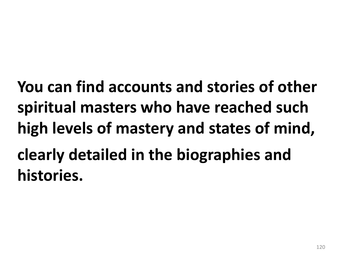**You can find accounts and stories of other spiritual masters who have reached such high levels of mastery and states of mind, clearly detailed in the biographies and histories.**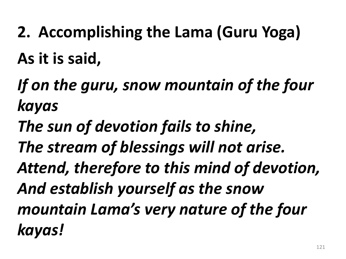- **2. Accomplishing the Lama (Guru Yoga)**
- **As it is said,**
- *If on the guru, snow mountain of the four kayas*
- *The sun of devotion fails to shine,*
- *The stream of blessings will not arise.*
- *Attend, therefore to this mind of devotion, And establish yourself as the snow mountain Lama's very nature of the four kayas!*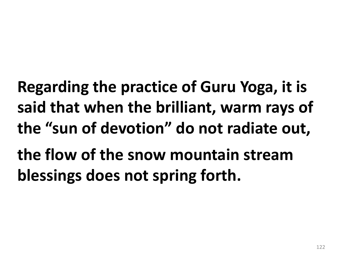**Regarding the practice of Guru Yoga, it is said that when the brilliant, warm rays of the "sun of devotion" do not radiate out, the flow of the snow mountain stream blessings does not spring forth.**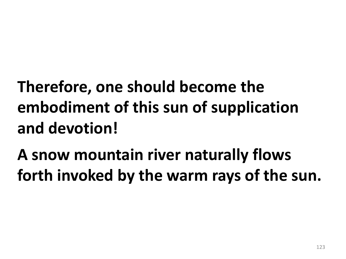## **Therefore, one should become the embodiment of this sun of supplication and devotion!**

#### **A snow mountain river naturally flows forth invoked by the warm rays of the sun.**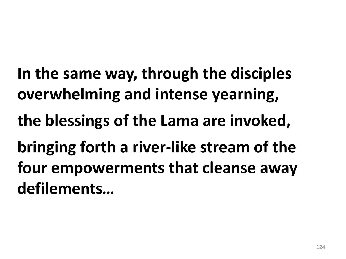**In the same way, through the disciples overwhelming and intense yearning, the blessings of the Lama are invoked, bringing forth a river-like stream of the four empowerments that cleanse away defilements***…*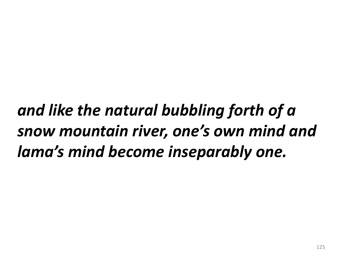*and like the natural bubbling forth of a snow mountain river, one's own mind and lama's mind become inseparably one.*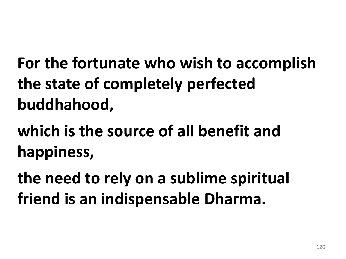**For the fortunate who wish to accomplish the state of completely perfected buddhahood,** 

**which is the source of all benefit and happiness,** 

**the need to rely on a sublime spiritual friend is an indispensable Dharma.**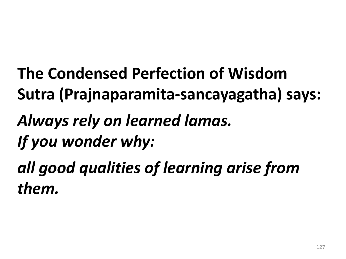**The Condensed Perfection of Wisdom Sutra (Prajnaparamita-sancayagatha) says:** *Always rely on learned lamas. If you wonder why: all good qualities of learning arise from them.*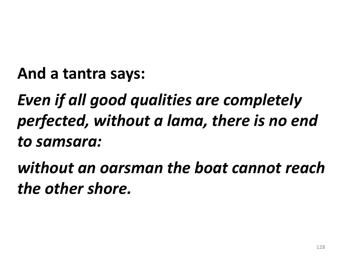**And a tantra says:** 

*Even if all good qualities are completely perfected, without a lama, there is no end to samsara:* 

*without an oarsman the boat cannot reach the other shore.*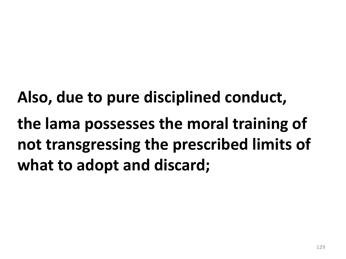**Also, due to pure disciplined conduct, the lama possesses the moral training of not transgressing the prescribed limits of what to adopt and discard;**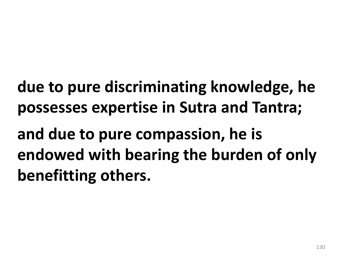**due to pure discriminating knowledge, he possesses expertise in Sutra and Tantra;** 

**and due to pure compassion, he is endowed with bearing the burden of only benefitting others.**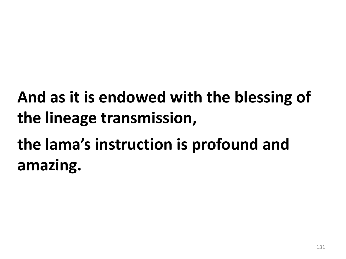# **And as it is endowed with the blessing of the lineage transmission,**

# **the lama's instruction is profound and amazing.**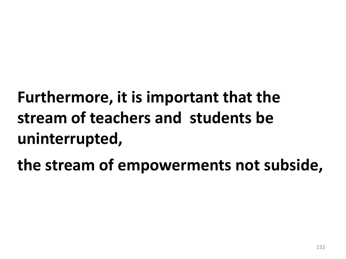# **Furthermore, it is important that the stream of teachers and students be uninterrupted,**

**the stream of empowerments not subside,**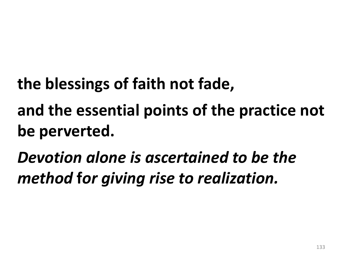- **the blessings of faith not fade,**
- **and the essential points of the practice not be perverted.**
- *Devotion alone is ascertained to be the method* **f***or giving rise to realization.*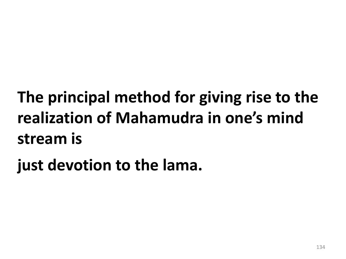**The principal method for giving rise to the realization of Mahamudra in one's mind stream is** 

**just devotion to the lama.**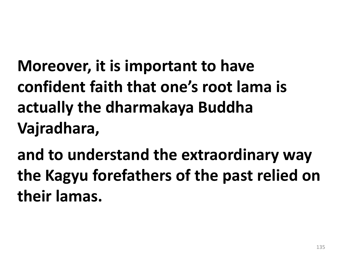**Moreover, it is important to have confident faith that one's root lama is actually the dharmakaya Buddha Vajradhara,** 

**and to understand the extraordinary way the Kagyu forefathers of the past relied on their lamas.**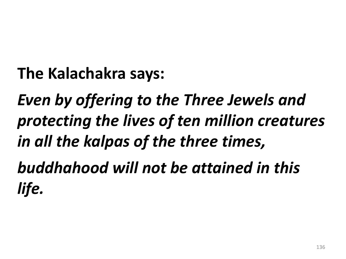**The Kalachakra says:**

*Even by offering to the Three Jewels and protecting the lives of ten million creatures in all the kalpas of the three times,* 

*buddhahood will not be attained in this life.*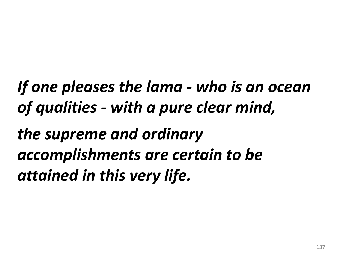*If one pleases the lama - who is an ocean of qualities - with a pure clear mind, the supreme and ordinary accomplishments are certain to be attained in this very life.*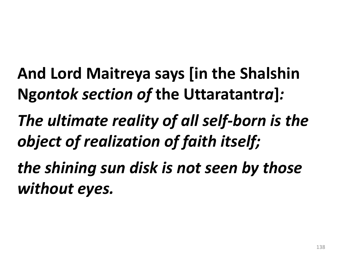**And Lord Maitreya says [in the Shalshin Ng***ontok section of* **the Uttaratantr***a***]***:*

*The ultimate reality of all self-born is the object of realization of faith itself;* 

*the shining sun disk is not seen by those without eyes.*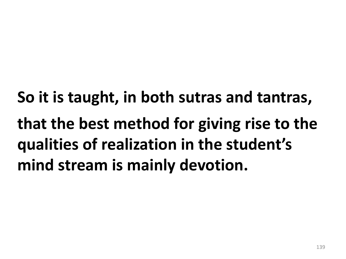**So it is taught, in both sutras and tantras, that the best method for giving rise to the qualities of realization in the student's mind stream is mainly devotion.**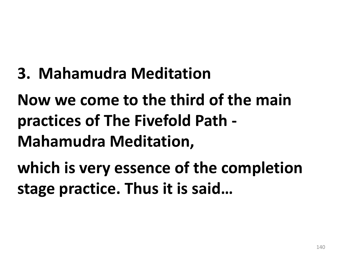**3. Mahamudra Meditation**

**Now we come to the third of the main practices of The Fivefold Path - Mahamudra Meditation,** 

**which is very essence of the completion stage practice. Thus it is said…**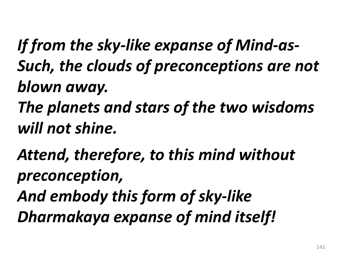- *If from the sky-like expanse of Mind-as-Such, the clouds of preconceptions are not blown away.*
- *The planets and stars of the two wisdoms will not shine.*
- *Attend, therefore, to this mind without preconception,*
- *And embody this form of sky-like Dharmakaya expanse of mind itself!*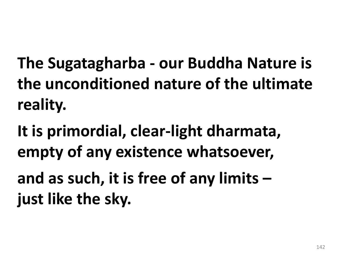**The Sugatagharba - our Buddha Nature is the unconditioned nature of the ultimate reality.** 

**It is primordial, clear-light dharmata, empty of any existence whatsoever, and as such, it is free of any limits – just like the sky.**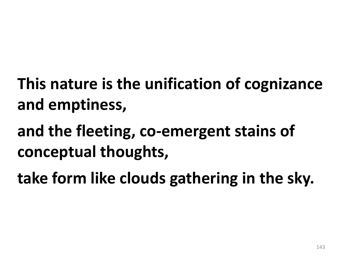- **This nature is the unification of cognizance and emptiness,**
- **and the fleeting, co-emergent stains of conceptual thoughts,**
- **take form like clouds gathering in the sky.**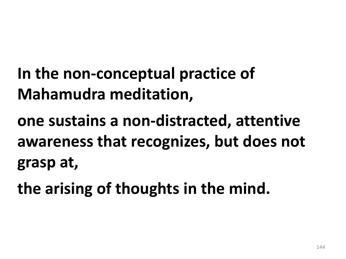- **In the non-conceptual practice of Mahamudra meditation,**
- **one sustains a non-distracted, attentive awareness that recognizes, but does not grasp at,**
- **the arising of thoughts in the mind.**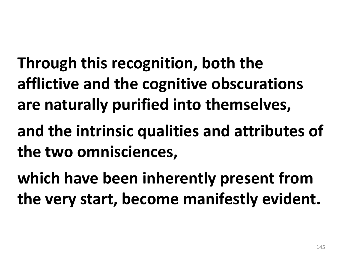**Through this recognition, both the afflictive and the cognitive obscurations are naturally purified into themselves,** 

**and the intrinsic qualities and attributes of the two omnisciences,** 

**which have been inherently present from the very start, become manifestly evident.**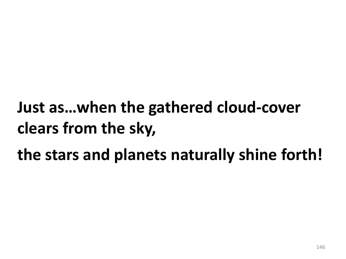## **Just as…when the gathered cloud-cover clears from the sky,**

#### **the stars and planets naturally shine forth!**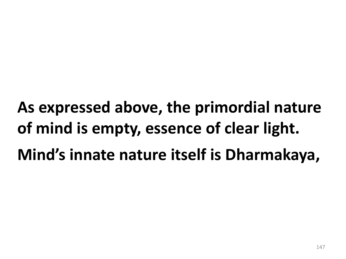**As expressed above, the primordial nature of mind is empty, essence of clear light. Mind's innate nature itself is Dharmakaya,**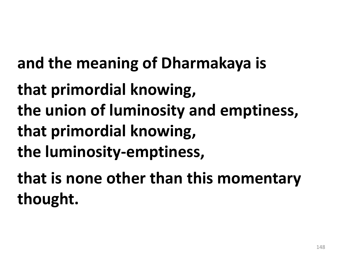**and the meaning of Dharmakaya is** 

**that primordial knowing, the union of luminosity and emptiness, that primordial knowing, the luminosity-emptiness,** 

**that is none other than this momentary thought.**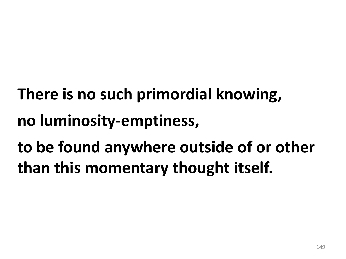- **There is no such primordial knowing, no luminosity-emptiness,**
- **to be found anywhere outside of or other than this momentary thought itself.**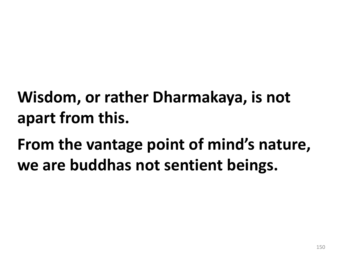#### **Wisdom, or rather Dharmakaya, is not apart from this.**

## **From the vantage point of mind's nature, we are buddhas not sentient beings.**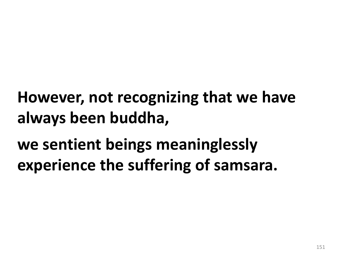#### **However, not recognizing that we have always been buddha,**

#### **we sentient beings meaninglessly experience the suffering of samsara.**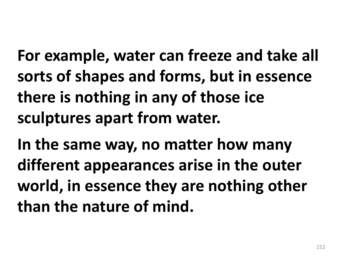**For example, water can freeze and take all sorts of shapes and forms, but in essence there is nothing in any of those ice sculptures apart from water.** 

**In the same way, no matter how many different appearances arise in the outer world, in essence they are nothing other than the nature of mind.**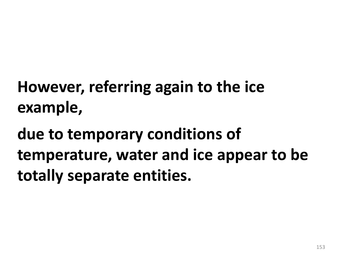## **However, referring again to the ice example,**

## **due to temporary conditions of temperature, water and ice appear to be totally separate entities.**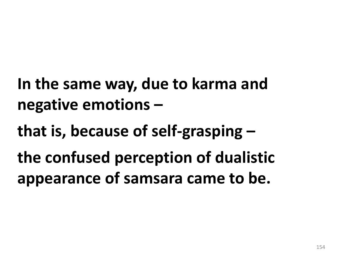**In the same way, due to karma and negative emotions –**

**that is, because of self-grasping –**

**the confused perception of dualistic appearance of samsara came to be.**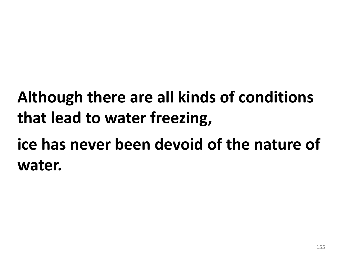## **Although there are all kinds of conditions that lead to water freezing,**

#### **ice has never been devoid of the nature of water.**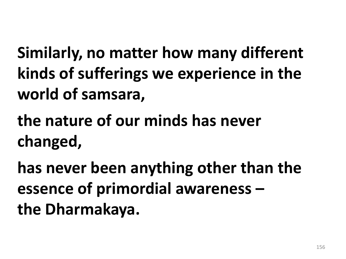**Similarly, no matter how many different kinds of sufferings we experience in the world of samsara,** 

**the nature of our minds has never changed,** 

**has never been anything other than the essence of primordial awareness – the Dharmakaya.**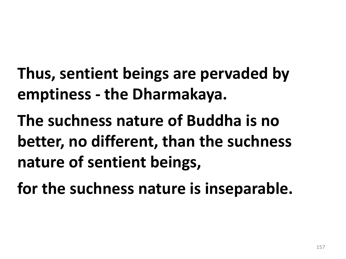- **Thus, sentient beings are pervaded by emptiness - the Dharmakaya.**
- **The suchness nature of Buddha is no better, no different, than the suchness nature of sentient beings,**
- **for the suchness nature is inseparable.**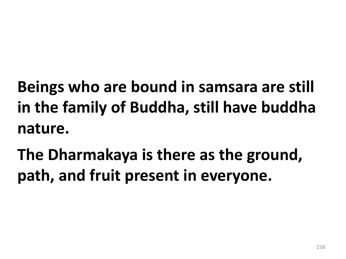**Beings who are bound in samsara are still in the family of Buddha, still have buddha nature.** 

**The Dharmakaya is there as the ground, path, and fruit present in everyone.**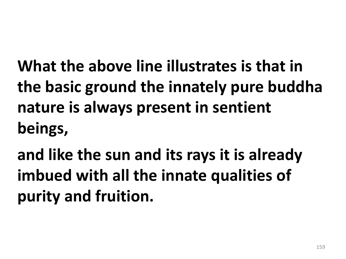**What the above line illustrates is that in the basic ground the innately pure buddha nature is always present in sentient beings,** 

**and like the sun and its rays it is already imbued with all the innate qualities of purity and fruition.**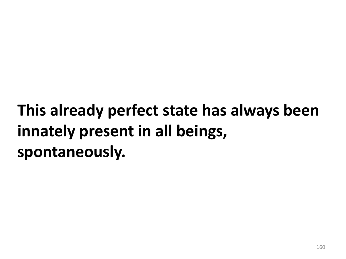## **This already perfect state has always been innately present in all beings, spontaneously.**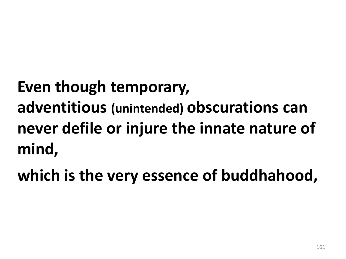# **Even though temporary, adventitious (unintended) obscurations can never defile or injure the innate nature of mind,**

**which is the very essence of buddhahood,**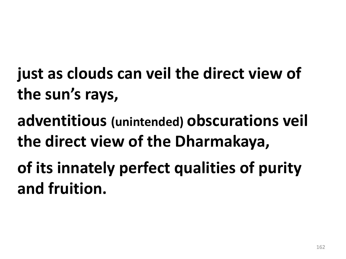- **just as clouds can veil the direct view of the sun's rays,**
- **adventitious (unintended) obscurations veil the direct view of the Dharmakaya,**
- **of its innately perfect qualities of purity and fruition.**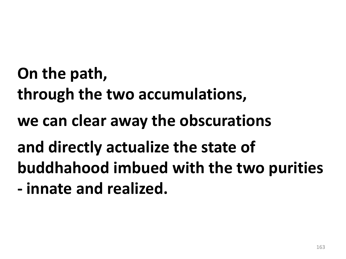**On the path, through the two accumulations, we can clear away the obscurations and directly actualize the state of buddhahood imbued with the two purities - innate and realized.**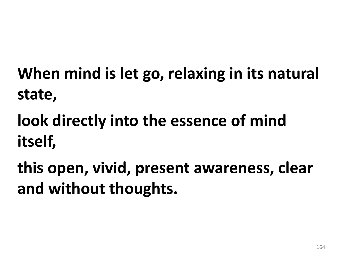**When mind is let go, relaxing in its natural state,** 

**look directly into the essence of mind itself,** 

**this open, vivid, present awareness, clear and without thoughts.**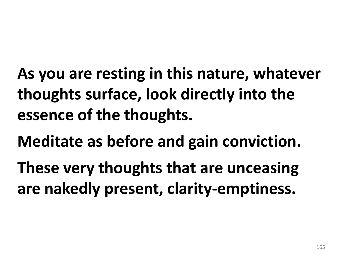**As you are resting in this nature, whatever thoughts surface, look directly into the essence of the thoughts.** 

**Meditate as before and gain conviction.** 

**These very thoughts that are unceasing are nakedly present, clarity-emptiness.**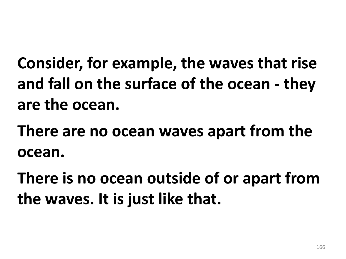**Consider, for example, the waves that rise and fall on the surface of the ocean - they are the ocean.** 

**There are no ocean waves apart from the ocean.** 

**There is no ocean outside of or apart from the waves. It is just like that.**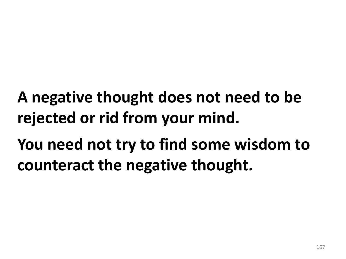#### **A negative thought does not need to be rejected or rid from your mind.**

## **You need not try to find some wisdom to counteract the negative thought.**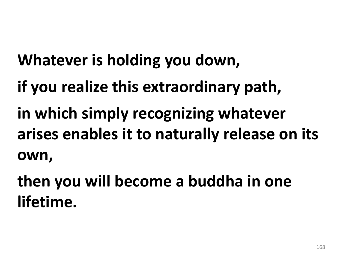# **Whatever is holding you down,**

- **if you realize this extraordinary path,**
- **in which simply recognizing whatever arises enables it to naturally release on its own,**

**then you will become a buddha in one lifetime.**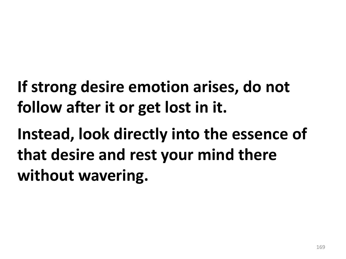**If strong desire emotion arises, do not follow after it or get lost in it.** 

**Instead, look directly into the essence of that desire and rest your mind there without wavering.**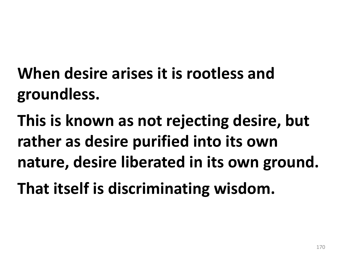## **When desire arises it is rootless and groundless.**

**This is known as not rejecting desire, but rather as desire purified into its own nature, desire liberated in its own ground. That itself is discriminating wisdom.**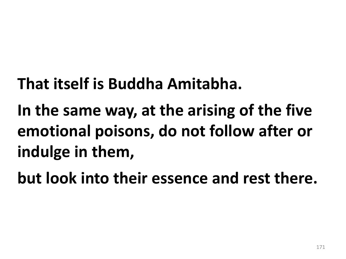#### **That itself is Buddha Amitabha.**

## **In the same way, at the arising of the five emotional poisons, do not follow after or indulge in them,**

**but look into their essence and rest there.**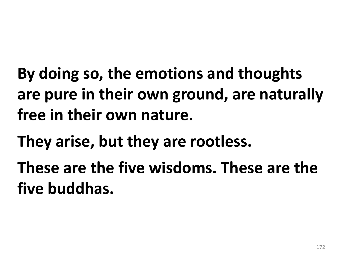**By doing so, the emotions and thoughts are pure in their own ground, are naturally free in their own nature.** 

**They arise, but they are rootless.** 

**These are the five wisdoms. These are the five buddhas.**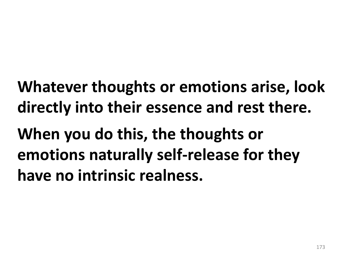**Whatever thoughts or emotions arise, look directly into their essence and rest there.** 

**When you do this, the thoughts or emotions naturally self-release for they have no intrinsic realness.**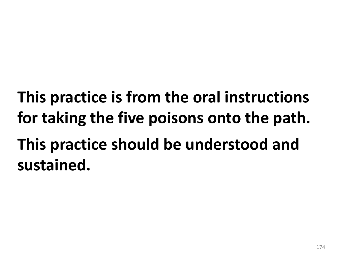# **This practice is from the oral instructions for taking the five poisons onto the path. This practice should be understood and sustained.**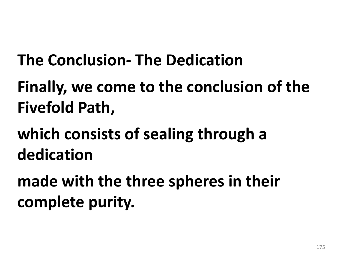#### **The Conclusion- The Dedication**

#### **Finally, we come to the conclusion of the Fivefold Path,**

#### **which consists of sealing through a dedication**

**made with the three spheres in their complete purity.**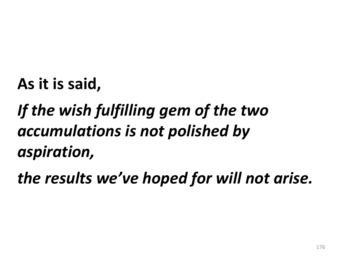#### **As it is said,**

## *If the wish fulfilling gem of the two accumulations is not polished by aspiration,*

*the results we've hoped for will not arise.*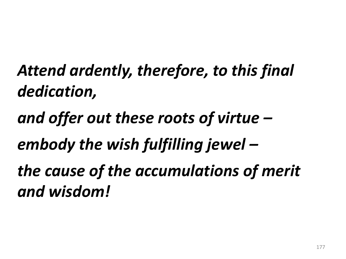## *Attend ardently, therefore, to this final dedication,*

#### *and offer out these roots of virtue –*

### *embody the wish fulfilling jewel –*

*the cause of the accumulations of merit and wisdom!*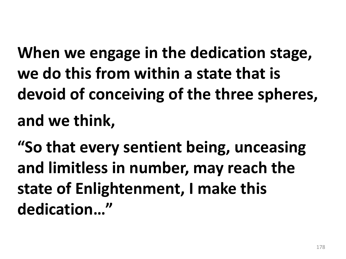**When we engage in the dedication stage, we do this from within a state that is devoid of conceiving of the three spheres, and we think,** 

**"So that every sentient being, unceasing and limitless in number, may reach the state of Enlightenment, I make this dedication…"**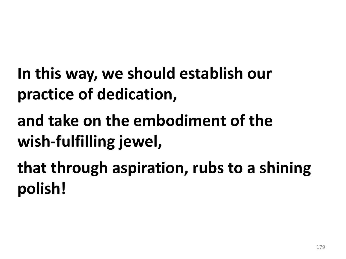- **In this way, we should establish our practice of dedication,**
- **and take on the embodiment of the wish-fulfilling jewel,**
- **that through aspiration, rubs to a shining polish!**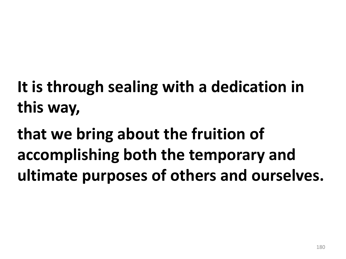## **It is through sealing with a dedication in this way,**

**that we bring about the fruition of accomplishing both the temporary and ultimate purposes of others and ourselves.**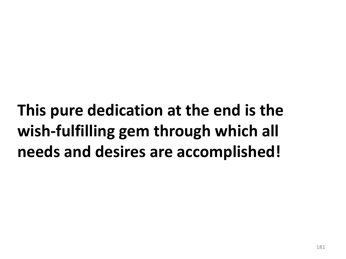**This pure dedication at the end is the wish-fulfilling gem through which all needs and desires are accomplished!**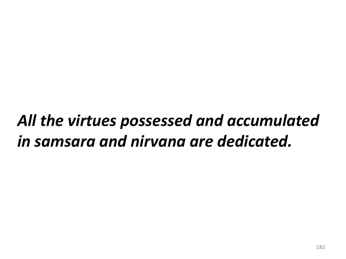### *All the virtues possessed and accumulated in samsara and nirvana are dedicated.*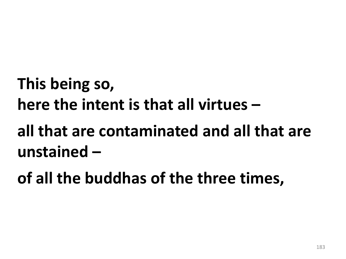### **This being so, here the intent is that all virtues –**

**all that are contaminated and all that are unstained –**

**of all the buddhas of the three times,**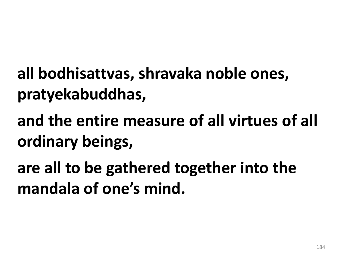- **all bodhisattvas, shravaka noble ones, pratyekabuddhas,**
- **and the entire measure of all virtues of all ordinary beings,**
- **are all to be gathered together into the mandala of one's mind.**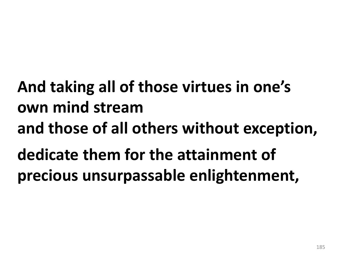**And taking all of those virtues in one's own mind stream and those of all others without exception, dedicate them for the attainment of precious unsurpassable enlightenment,**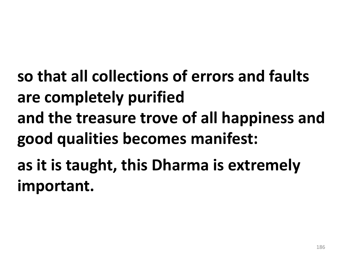**so that all collections of errors and faults are completely purified and the treasure trove of all happiness and good qualities becomes manifest: as it is taught, this Dharma is extremely important.**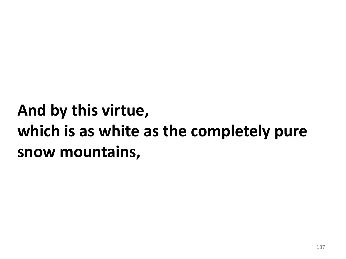## **And by this virtue, which is as white as the completely pure snow mountains,**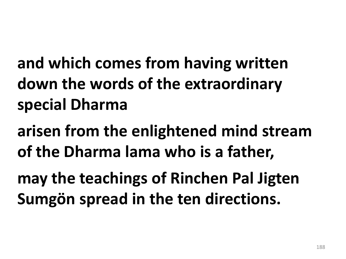**and which comes from having written down the words of the extraordinary special Dharma** 

**arisen from the enlightened mind stream of the Dharma lama who is a father,** 

**may the teachings of Rinchen Pal Jigten Sumgön spread in the ten directions.**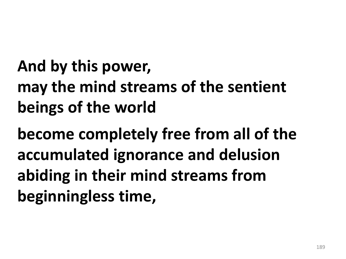## **And by this power, may the mind streams of the sentient beings of the world**

**become completely free from all of the accumulated ignorance and delusion abiding in their mind streams from beginningless time,**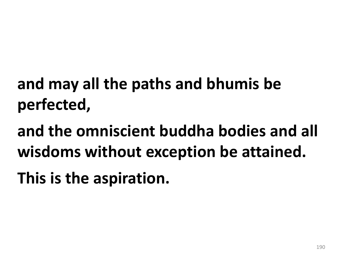# **and may all the paths and bhumis be perfected,**

**and the omniscient buddha bodies and all wisdoms without exception be attained.**

**This is the aspiration.**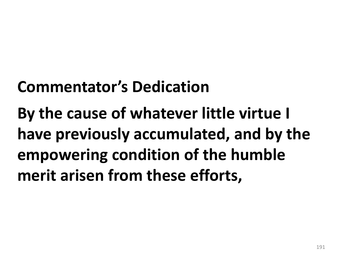#### **Commentator's Dedication**

**By the cause of whatever little virtue I have previously accumulated, and by the empowering condition of the humble merit arisen from these efforts,**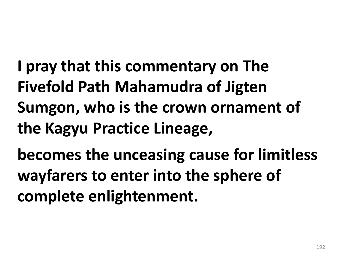**I pray that this commentary on The Fivefold Path Mahamudra of Jigten Sumgon, who is the crown ornament of the Kagyu Practice Lineage,** 

**becomes the unceasing cause for limitless wayfarers to enter into the sphere of complete enlightenment.**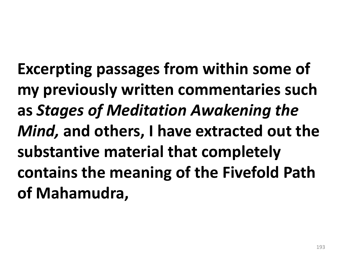**Excerpting passages from within some of my previously written commentaries such as** *Stages of Meditation Awakening the Mind,* **and others, I have extracted out the substantive material that completely contains the meaning of the Fivefold Path of Mahamudra,**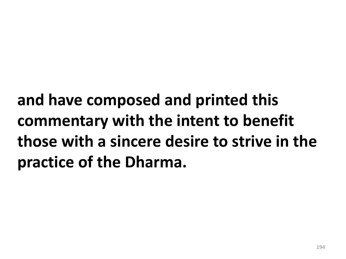**and have composed and printed this commentary with the intent to benefit those with a sincere desire to strive in the practice of the Dharma.**